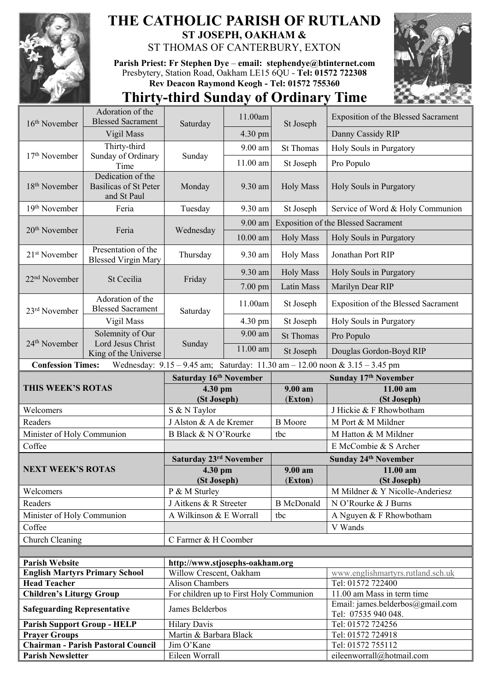

## **THE CATHOLIC PARISH OF RUTLAND ST JOSEPH, OAKHAM &**  ST THOMAS OF CANTERBURY, EXTON

**Parish Priest: Fr Stephen Dye** – **[email: stephendye@btinternet.com](mailto:email:%20%20stephendye@btinternet.com)** Presbytery, Station Road, Oakham LE15 6QU - **Tel: 01572 722308 Rev Deacon Raymond Keogh - Tel: 01572 755360**



## **Thirty-third Sunday of Ordinary Time**

| 16 <sup>th</sup> November                                                                                       | Adoration of the<br><b>Blessed Sacrament</b>                     |                                         | 11.00am           | St Joseph             | Exposition of the Blessed Sacrament                     |  |
|-----------------------------------------------------------------------------------------------------------------|------------------------------------------------------------------|-----------------------------------------|-------------------|-----------------------|---------------------------------------------------------|--|
|                                                                                                                 | Vigil Mass                                                       | Saturday                                | 4.30 pm           |                       | Danny Cassidy RIP                                       |  |
| 17 <sup>th</sup> November                                                                                       | Thirty-third<br>Sunday of Ordinary<br>Time                       | Sunday                                  | 9.00 am           | <b>St Thomas</b>      | Holy Souls in Purgatory                                 |  |
|                                                                                                                 |                                                                  |                                         | 11.00 am          | St Joseph             | Pro Populo                                              |  |
| 18 <sup>th</sup> November                                                                                       | Dedication of the<br><b>Basilicas of St Peter</b><br>and St Paul | Monday                                  | 9.30 am           | <b>Holy Mass</b>      | Holy Souls in Purgatory                                 |  |
| 19th November                                                                                                   | Feria                                                            | Tuesday                                 | 9.30 am           | St Joseph             | Service of Word & Holy Communion                        |  |
| 20 <sup>th</sup> November                                                                                       | Feria                                                            | Wednesday                               | $9.00$ am         |                       | Exposition of the Blessed Sacrament                     |  |
|                                                                                                                 |                                                                  |                                         | $10.00$ am        | <b>Holy Mass</b>      | Holy Souls in Purgatory                                 |  |
| 21 <sup>st</sup> November                                                                                       | Presentation of the<br><b>Blessed Virgin Mary</b>                | Thursday                                | 9.30 am           | <b>Holy Mass</b>      | Jonathan Port RIP                                       |  |
| 22 <sup>nd</sup> November                                                                                       | St Cecilia                                                       | Friday                                  | 9.30 am           | <b>Holy Mass</b>      | Holy Souls in Purgatory                                 |  |
|                                                                                                                 |                                                                  |                                         | $7.00 \text{ pm}$ | Latin Mass            | Marilyn Dear RIP                                        |  |
| 23 <sup>rd</sup> November                                                                                       | Adoration of the<br><b>Blessed Sacrament</b>                     | Saturday                                | 11.00am           | St Joseph             | Exposition of the Blessed Sacrament                     |  |
|                                                                                                                 | Vigil Mass                                                       |                                         | 4.30 pm           | St Joseph             | Holy Souls in Purgatory                                 |  |
| 24 <sup>th</sup> November                                                                                       | Solemnity of Our<br>Lord Jesus Christ                            | Sunday                                  | 9.00 am           | <b>St Thomas</b>      | Pro Populo                                              |  |
|                                                                                                                 | King of the Universe                                             |                                         | $11.00$ am        | St Joseph             | Douglas Gordon-Boyd RIP                                 |  |
| <b>Confession Times:</b><br>Wednesday: $9.15 - 9.45$ am; Saturday: $11.30$ am $- 12.00$ noon & $3.15 - 3.45$ pm |                                                                  |                                         |                   |                       |                                                         |  |
| THIS WEEK'S ROTAS                                                                                               |                                                                  | Saturday 16th November                  |                   |                       | Sunday 17th November                                    |  |
|                                                                                                                 |                                                                  |                                         |                   |                       |                                                         |  |
|                                                                                                                 |                                                                  | 4.30 pm                                 |                   | 9.00 am               | 11.00 am                                                |  |
| Welcomers                                                                                                       |                                                                  | (St Joseph)                             |                   | (Exton)               | (St Joseph)<br>J Hickie & F Rhowbotham                  |  |
| Readers                                                                                                         |                                                                  | S & N Taylor<br>J Alston & A de Kremer  |                   | <b>B</b> Moore        | M Port & M Mildner                                      |  |
|                                                                                                                 |                                                                  |                                         |                   |                       |                                                         |  |
| Minister of Holy Communion                                                                                      |                                                                  | B Black & N O'Rourke                    |                   | tbc                   | M Hatton & M Mildner                                    |  |
| Coffee                                                                                                          |                                                                  |                                         |                   |                       | E McCombie & S Archer                                   |  |
|                                                                                                                 |                                                                  | Saturday 23rd November                  |                   |                       | Sunday 24 <sup>th</sup> November                        |  |
| <b>NEXT WEEK'S ROTAS</b>                                                                                        |                                                                  | 4.30 pm<br>(St Joseph)                  |                   | $9.00 a$ m<br>(Exton) | 11.00 am<br>(St Joseph)                                 |  |
| Welcomers                                                                                                       |                                                                  | P & M Sturley                           |                   |                       | M Mildner & Y Nicolle-Anderiesz                         |  |
| Readers                                                                                                         |                                                                  | J Aitkens & R Streeter                  |                   | <b>B</b> McDonald     | N O'Rourke & J Burns                                    |  |
| Minister of Holy Communion                                                                                      |                                                                  | A Wilkinson & E Worrall                 |                   | tbc                   |                                                         |  |
| Coffee                                                                                                          |                                                                  |                                         |                   |                       | A Nguyen & F Rhowbotham<br>V Wands                      |  |
| Church Cleaning                                                                                                 |                                                                  | C Farmer & H Coomber                    |                   |                       |                                                         |  |
|                                                                                                                 |                                                                  |                                         |                   |                       |                                                         |  |
| <b>Parish Website</b>                                                                                           |                                                                  | http://www.stjosephs-oakham.org         |                   |                       |                                                         |  |
|                                                                                                                 | <b>English Martyrs Primary School</b>                            | Willow Crescent, Oakham                 |                   |                       | www.englishmartyrs.rutland.sch.uk                       |  |
| <b>Head Teacher</b>                                                                                             |                                                                  | Alison Chambers                         |                   |                       | Tel: 01572 722400                                       |  |
| <b>Children's Liturgy Group</b>                                                                                 |                                                                  | For children up to First Holy Communion |                   |                       | 11.00 am Mass in term time                              |  |
| <b>Safeguarding Representative</b>                                                                              |                                                                  | James Belderbos                         |                   |                       | Email: james.belderbos@gmail.com<br>Tel: 07535 940 048. |  |
| <b>Parish Support Group - HELP</b>                                                                              |                                                                  | <b>Hilary Davis</b>                     |                   |                       | Tel: 01572 724256                                       |  |
| <b>Prayer Groups</b>                                                                                            |                                                                  | Martin & Barbara Black                  |                   |                       | Tel: 01572 724918                                       |  |
| <b>Parish Newsletter</b>                                                                                        | <b>Chairman - Parish Pastoral Council</b>                        | Jim O'Kane<br>Eileen Worrall            |                   |                       | Tel: 01572 755112<br>eileenworrall@hotmail.com          |  |